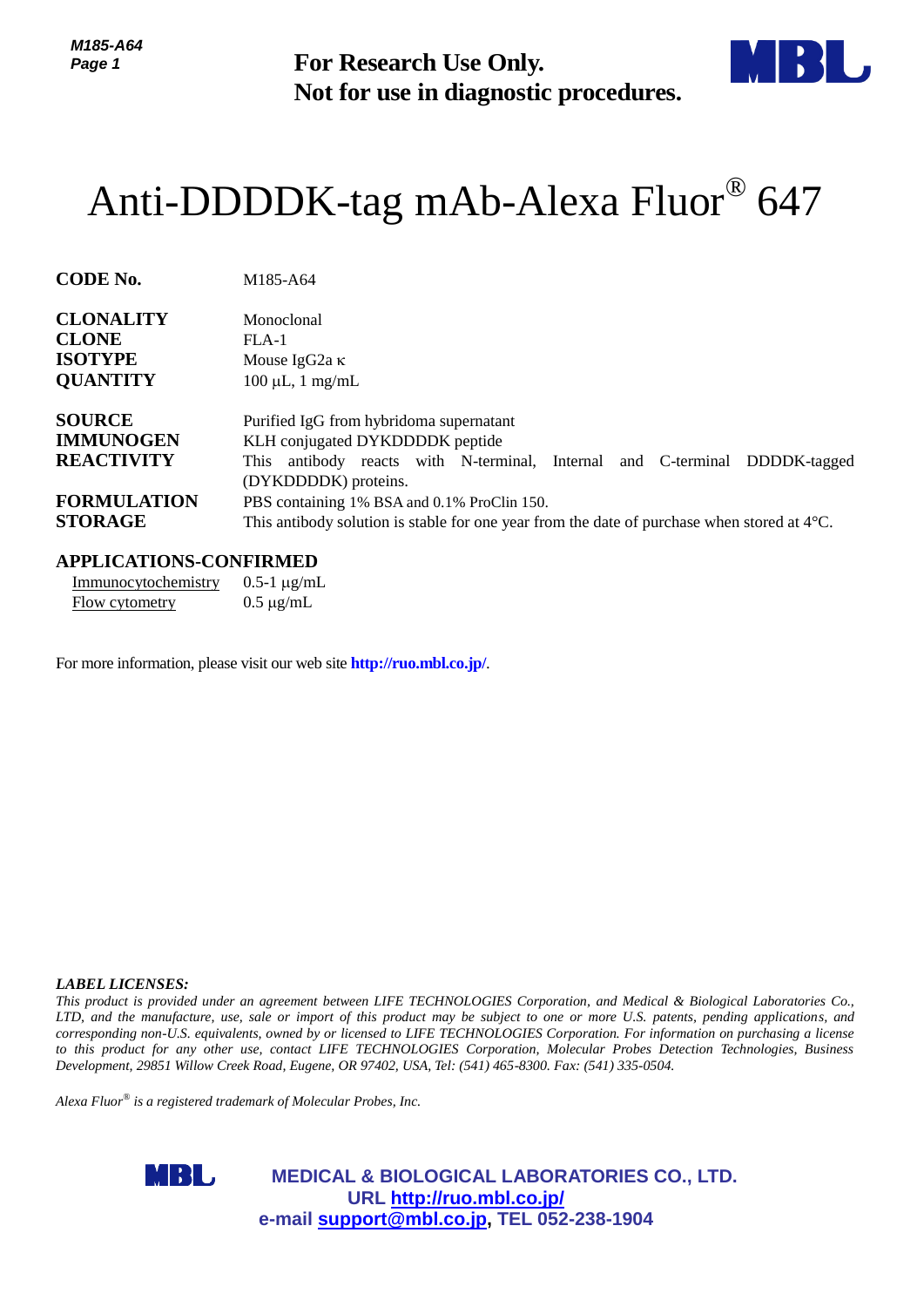*M185-A64 Page 1*



# [Anti-DDDDK-tag mAb-Alexa Fluor](http://ruo.mbl.co.jp/dtl/A/M185-A64/)® 647

| 77703-A04<br>Page 1                                                           | <b>For Research Use Only.</b><br>Not for use in diagnostic procedures.                                                                                                                                                                                                                                                                                                                                                                                                                                                                                                                                                                              |
|-------------------------------------------------------------------------------|-----------------------------------------------------------------------------------------------------------------------------------------------------------------------------------------------------------------------------------------------------------------------------------------------------------------------------------------------------------------------------------------------------------------------------------------------------------------------------------------------------------------------------------------------------------------------------------------------------------------------------------------------------|
|                                                                               | Anti-DDDDK-tag mAb-Alexa Fluor® 647                                                                                                                                                                                                                                                                                                                                                                                                                                                                                                                                                                                                                 |
| <b>CODE No.</b>                                                               | M185-A64                                                                                                                                                                                                                                                                                                                                                                                                                                                                                                                                                                                                                                            |
| <b>CLONALITY</b><br><b>CLONE</b><br><b>ISOTYPE</b><br><b>QUANTITY</b>         | Monoclonal<br>$FLA-1$<br>Mouse IgG <sub>2a</sub> κ<br>$100 \mu L$ , 1 mg/mL                                                                                                                                                                                                                                                                                                                                                                                                                                                                                                                                                                         |
| <b>SOURCE</b><br><b>IMMUNOGEN</b><br><b>REACTIVITY</b>                        | Purified IgG from hybridoma supernatant<br>KLH conjugated DYKDDDDK peptide<br>This antibody reacts with N-terminal, Internal and C-terminal DDDDK-tagged<br>(DYKDDDDK) proteins.                                                                                                                                                                                                                                                                                                                                                                                                                                                                    |
| <b>FORMULATION</b><br><b>STORAGE</b>                                          | PBS containing 1% BSA and 0.1% ProClin 150.<br>This antibody solution is stable for one year from the date of purchase when stored at $4^{\circ}$ C.                                                                                                                                                                                                                                                                                                                                                                                                                                                                                                |
| <b>APPLICATIONS-CONFIRMED</b><br>Immunocytochemistry<br><b>Flow cytometry</b> | $0.5-1 \mu g/mL$<br>$0.5 \mu g/mL$                                                                                                                                                                                                                                                                                                                                                                                                                                                                                                                                                                                                                  |
|                                                                               | For more information, please visit our web site <b>http://ruo.mbl.co.jp/</b> .                                                                                                                                                                                                                                                                                                                                                                                                                                                                                                                                                                      |
|                                                                               |                                                                                                                                                                                                                                                                                                                                                                                                                                                                                                                                                                                                                                                     |
|                                                                               |                                                                                                                                                                                                                                                                                                                                                                                                                                                                                                                                                                                                                                                     |
|                                                                               |                                                                                                                                                                                                                                                                                                                                                                                                                                                                                                                                                                                                                                                     |
|                                                                               |                                                                                                                                                                                                                                                                                                                                                                                                                                                                                                                                                                                                                                                     |
|                                                                               |                                                                                                                                                                                                                                                                                                                                                                                                                                                                                                                                                                                                                                                     |
|                                                                               |                                                                                                                                                                                                                                                                                                                                                                                                                                                                                                                                                                                                                                                     |
| <b>LABEL LICENSES:</b>                                                        | This product is provided under an agreement between LIFE TECHNOLOGIES Corporation, and Medical & Biological Laboratories Co.,<br>LTD, and the manufacture, use, sale or import of this product may be subject to one or more U.S. patents, pending applications, and<br>corresponding non-U.S. equivalents, owned by or licensed to LIFE TECHNOLOGIES Corporation. For information on purchasing a license<br>to this product for any other use, contact LIFE TECHNOLOGIES Corporation, Molecular Probes Detection Technologies, Business<br>Development, 29851 Willow Creek Road, Eugene, OR 97402, USA, Tel: (541) 465-8300. Fax: (541) 335-0504. |
|                                                                               | Alexa Fluor <sup>®</sup> is a registered trademark of Molecular Probes, Inc.                                                                                                                                                                                                                                                                                                                                                                                                                                                                                                                                                                        |
| MRI J                                                                         | <b>MEDICAL &amp; BIOLOGICAL LABORATORIES CO., LTD.</b><br>URL http://ruo.mbl.co.jp/<br>e-mail support@mbl.co.jp, TEL 052-238-1904                                                                                                                                                                                                                                                                                                                                                                                                                                                                                                                   |

#### **APPLICATIONS-CONFIRMED**

| Immunocytochemistry | $0.5-1 \mu g/mL$ |
|---------------------|------------------|
| Flow cytometry      | $0.5 \mu g/mL$   |

#### *LABEL LICENSES:*

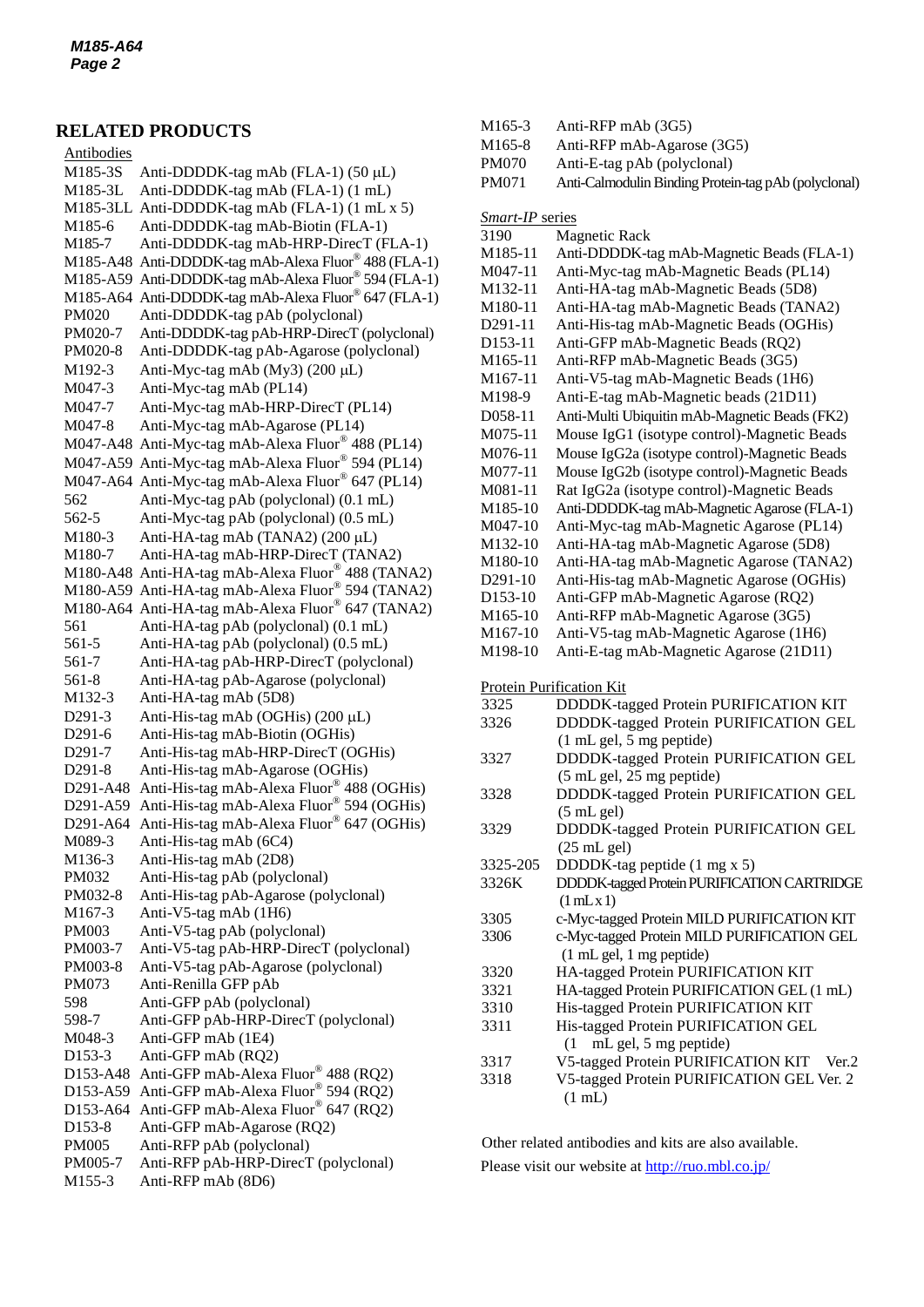### **RELATED PRODUCTS**

M185-3S Anti-DDDDK-tag mAb (FLA-1) (50 µL) Antibodies M185-3L Anti-DDDDK-tag mAb (FLA-1) (1 mL) M185-3LL Anti-DDDDK-tag mAb (FLA-1) (1 mL x 5) M185-6 Anti-DDDDK-tag mAb-Biotin (FLA-1) M185-7 [Anti-DDDDK-tag mAb-HRP-DirecT](http://ruo.mbl.co.jp/dtl/A/M185-7/) (FLA-1) M185-A48 Anti-DDDDK-tag mAb-Alexa Fluor® 488 (FLA-1) M185-A59 Anti-DDDDK-tag mAb-Alexa Fluor® 594 (FLA-1) M185-A64 Anti-DDDDK-tag mAb-Alexa Fluor® 647 (FLA-1) PM020 Anti-DDDDK-tag pAb (polyclonal) PM020-7 Anti-DDDDK-tag pAb-HRP-DirecT (polyclonal) PM020-8 Anti-DDDDK-tag pAb-Agarose (polyclonal) M192-3 Anti-Myc-tag mAb  $(My3)$  (200 µL) M047-3 Anti-Myc-tag mAb (PL14) M047-7 Anti-Myc-tag mAb-HRP-DirecT (PL14) M047-8 Anti-Myc-tag mAb-Agarose (PL14) M047-A48 Anti-Myc-tag mAb-Alexa Fluor® 488 (PL14) M047-A59 Anti-Myc-tag mAb-Alexa Fluor® 594 (PL14) M047-A64 Anti-Myc-tag mAb-Alexa Fluor® 647 (PL14) 562 Anti-Myc-tag pAb (polyclonal) (0.1 mL) 562-5 Anti-Myc-tag pAb (polyclonal) (0.5 mL) M180-3 Anti-HA-tag mAb (TANA2)  $(200 \mu L)$ M180-7 Anti-HA-tag mAb-HRP-DirecT (TANA2) M180-A48 Anti-HA-tag mAb-Alexa Fluor® 488 (TANA2) M180-A59 Anti-HA-tag mAb-Alexa Fluor® 594 (TANA2) M180-A64 Anti-HA-tag mAb-Alexa Fluor® 647 (TANA2) 561 Anti-HA-tag pAb (polyclonal) (0.1 mL) 561-5 Anti-HA-tag pAb (polyclonal) (0.5 mL) 561-7 Anti-HA-tag pAb-HRP-DirecT (polyclonal) 561-8 Anti-HA-tag pAb-Agarose (polyclonal) M132-3 Anti-HA-tag mAb (5D8) D291-3 Anti-His-tag mAb (OGHis)  $(200 \mu L)$ D291-6 Anti-His-tag mAb-Biotin (OGHis) D291-7 Anti-His-tag mAb-HRP-DirecT (OGHis) D291-8 Anti-His-tag mAb-Agarose (OGHis) D291-A48 Anti-His-tag mAb-Alexa Fluor® 488 (OGHis) D291-A59 Anti-His-tag mAb-Alexa Fluor® 594 (OGHis) D291-A64 Anti-His-tag mAb-Alexa Fluor® 647 (OGHis) M089-3 Anti-His-tag mAb (6C4) M136-3 Anti-His-tag mAb (2D8) PM032 Anti-His-tag pAb (polyclonal) PM032-8 Anti-His-tag pAb-Agarose (polyclonal) M167-3 Anti-V5-tag mAb (1H6) PM003 Anti-V5-tag pAb (polyclonal) PM003-7 Anti-V5-tag pAb-HRP-DirecT (polyclonal) PM003-8 Anti-V5-tag pAb-Agarose (polyclonal) PM073 Anti-Renilla GFP pAb 598 Anti-GFP pAb (polyclonal) 598-7 Anti-GFP pAb-HRP-DirecT (polyclonal) M048-3 Anti-GFP mAb (1E4) D153-3 Anti-GFP mAb (RQ2) D153-A48 Anti-GFP mAb-Alexa Fluor® 488 (RQ2) D153-A59 Anti-GFP mAb-Alexa Fluor® 594 (RQ2) D153-A64 Anti-GFP mAb-Alexa Fluor® 647 (RQ2) D153-8 Anti-GFP mAb-Agarose (RQ2) PM005 Anti-RFP pAb (polyclonal) PM005-7 Anti-RFP pAb-HRP-DirecT (polyclonal)

M155-3 Anti-RFP mAb (8D6)

- M165-3 Anti-RFP mAb (3G5)
- M165-8 Anti-RFP mAb-Agarose (3G5) PM070 Anti-E-tag pAb (polyclonal)
- 
- PM071 Anti-Calmodulin Binding Protein-tag pAb (polyclonal)

*Smart-IP* series 3190 Magnetic Rack M185-11 Anti-DDDDK-tag mAb-Magnetic Beads (FLA-1) M047-11 Anti-Myc-tag mAb-Magnetic Beads (PL14) M132-11 Anti-HA-tag mAb-Magnetic Beads (5D8) M180-11 Anti-HA-tag mAb-Magnetic Beads (TANA2) D291-11 Anti-His-tag mAb-Magnetic Beads (OGHis) D153-11 Anti-GFP mAb-Magnetic Beads (RQ2) M165-11 Anti-RFP mAb-Magnetic Beads (3G5) M167-11 Anti-V5-tag mAb-Magnetic Beads (1H6) M198-9 Anti-E-tag mAb-Magnetic beads (21D11) D058-11 Anti-Multi Ubiquitin mAb-Magnetic Beads (FK2) M075-11 [Mouse IgG1 \(isotype control\)-Magnetic Beads](http://ruo.mbl.co.jp/dtl/A/M075-9/) M076-11 Mouse IgG2a [\(isotype control\)-Magnetic Beads](http://ruo.mbl.co.jp/dtl/A/M075-9/) M077-11 Mouse IgG2b [\(isotype control\)-Magnetic Beads](http://ruo.mbl.co.jp/dtl/A/M075-9/) M081-11 Rat IgG2a [\(isotype control\)-Magnetic Beads](http://ruo.mbl.co.jp/dtl/A/M075-9/) M185-10 Anti-DDDDK-tag mAb-Magnetic Agarose (FLA-1) M047-10 Anti-Myc-tag mAb-Magnetic Agarose (PL14) M132-10 Anti-HA-tag mAb-Magnetic Agarose (5D8) M180-10 Anti-HA-tag mAb-Magnetic Agarose (TANA2) D291-10 Anti-His-tag mAb-Magnetic Agarose (OGHis) D153-10 Anti-GFP mAb-Magnetic Agarose (RQ2) M165-10 Anti-RFP mAb-Magnetic Agarose (3G5) M167-10 Anti-V5-tag mAb-Magnetic Agarose (1H6) M198-10 Anti-E-tag mAb-Magnetic Agarose (21D11) Protein Purification Kit 3325 DDDDK-tagged Protein PURIFICATION KIT 3326 DDDDK-tagged Protein PURIFICATION GEL (1 mL gel, 5 mg peptide) 3327 DDDDK-tagged Protein PURIFICATION GEL (5 mL gel, 25 mg peptide) 3328 DDDDK-tagged Protein PURIFICATION GEL (5 mL gel) 3329 DDDDK-tagged Protein PURIFICATION GEL (25 mL gel) 3325-205 DDDDK-tag peptide (1 mg x 5) 3326K DDDDK-taggedProteinPURIFICATION CARTRIDGE  $(1$  mLx 1) 3305 c-Myc-tagged Protein MILD PURIFICATION KIT 3306 c-Myc-tagged Protein MILD PURIFICATION GEL (1 mL gel, 1 mg peptide) 3320 HA-tagged Protein PURIFICATION KIT 3321 HA-tagged Protein PURIFICATION GEL (1 mL) 3310 His-tagged Protein PURIFICATION KIT 3311 His-tagged Protein PURIFICATION GEL (1 mL gel, 5 mg peptide) 3317 V5-tagged Protein PURIFICATION KIT Ver.2 3318 [V5-tagged Protein PURIFICATION GEL](http://ruo.mbl.co.jp/dtl/P/3316/) Ver. 2 (1 mL)

Other related antibodies and kits are also available.

Please visit our website at<http://ruo.mbl.co.jp/>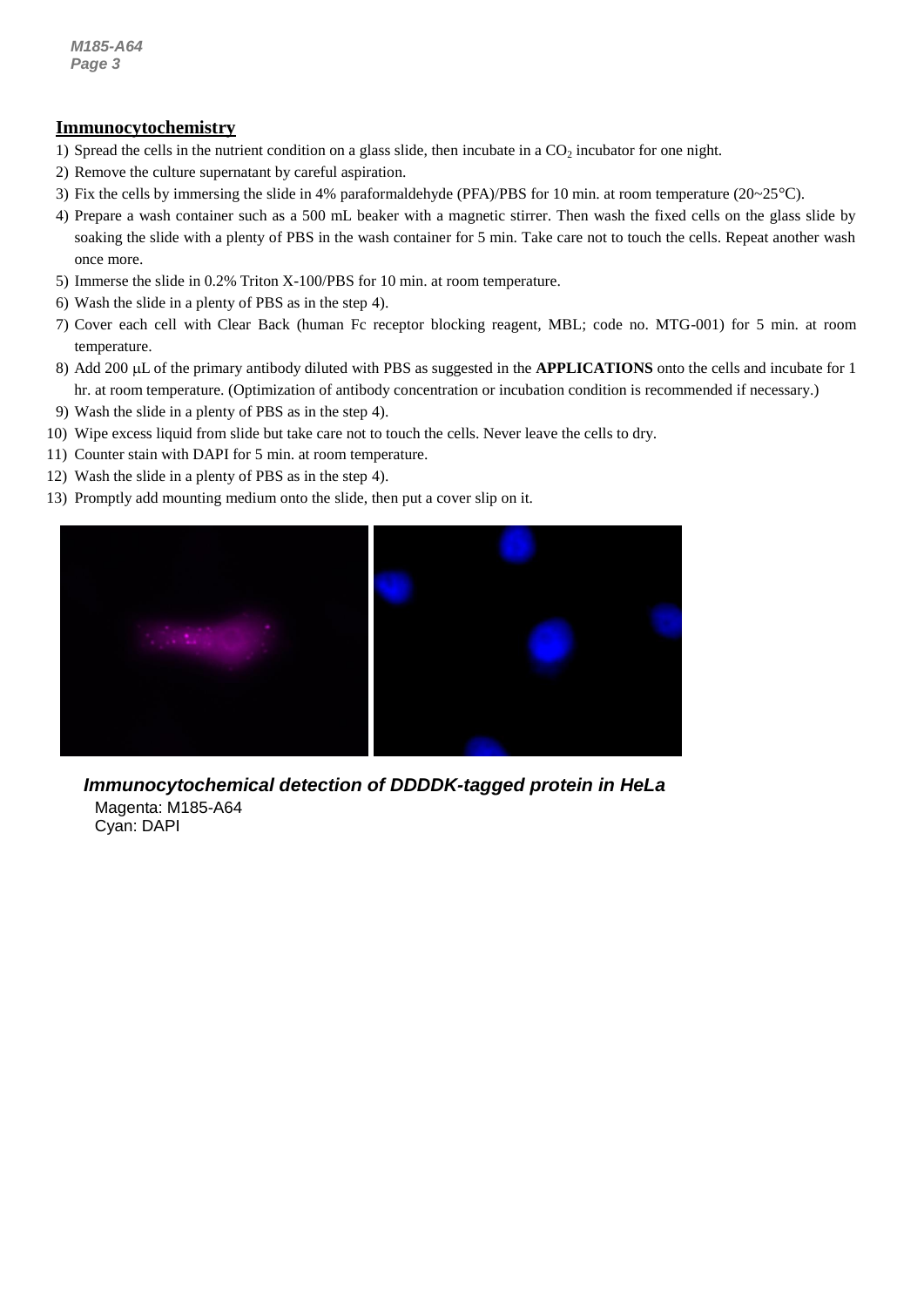### **Immunocytochemistry**

- 1) Spread the cells in the nutrient condition on a glass slide, then incubate in a CO<sub>2</sub> incubator for one night.
- 2) Remove the culture supernatant by careful aspiration.
- *3* 3) Fix the cells by immersing the slide in 4% paraformaldehyde (PFA)/PBS for 10 min. at room temperature (20~25°C).
- 4) Prepare a wash container such as a 500 mL beaker with a magnetic stirrer. Then wash the fixed cells on the glass slide by soaking the slide with a plenty of PBS in the wash container for 5 min. Take care not to touch the cells. Repeat another wash once more.
- 5) Immerse the slide in 0.2% Triton X-100/PBS for 10 min. at room temperature.
- 6) Wash the slide in a plenty of PBS as in the step 4).
- 7) Cover each cell with Clear Back (human Fc receptor blocking reagent, MBL; code no. MTG-001) for 5 min. at room temperature.
- 8) Add 200 µL of the primary antibody diluted with PBS as suggested in the **APPLICATIONS** onto the cells and incubate for 1 hr. at room temperature. (Optimization of antibody concentration or incubation condition is recommended if necessary.)
- 9) Wash the slide in a plenty of PBS as in the step 4).
- 10) Wipe excess liquid from slide but take care not to touch the cells. Never leave the cells to dry.
- 11) Counter stain with DAPI for 5 min. at room temperature.
- 12) Wash the slide in a plenty of PBS as in the step 4).
- 13) Promptly add mounting medium onto the slide, then put a cover slip on it.



*Immunocytochemical detection of DDDDK-tagged protein in HeLa* Magenta: M185-A64 Cyan: DAPI